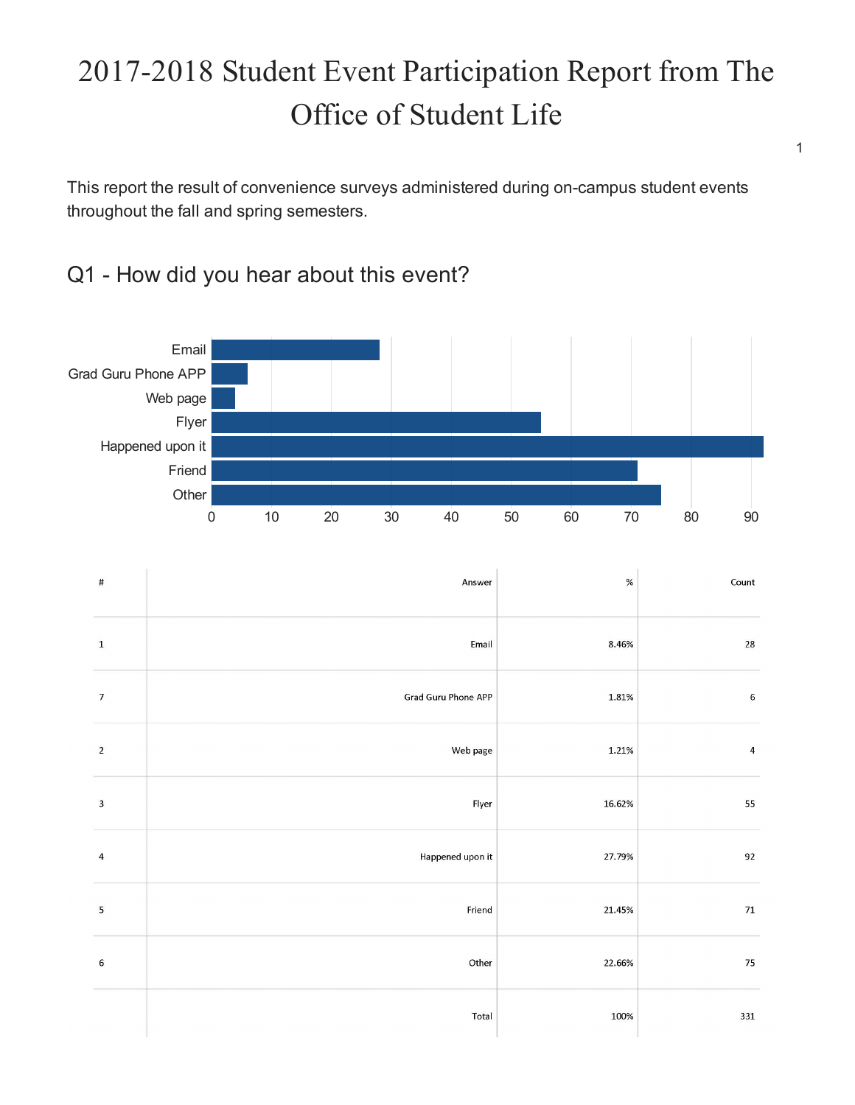1

This report the result of convenience surveys administered during on-campus student events throughout the fall and spring semesters.

#### Q1 - How did you hear about this event?



| $\sharp$                | Answer              | $\%$   | Count          |
|-------------------------|---------------------|--------|----------------|
| $\mathbf 1$             | Email               | 8.46%  | 28             |
| $\overline{7}$          | Grad Guru Phone APP | 1.81%  | $\sqrt{6}$     |
| $\overline{2}$          | Web page            | 1.21%  | $\overline{4}$ |
| $\overline{\mathbf{3}}$ | Flyer               | 16.62% | 55             |
| $\overline{4}$          | Happened upon it    | 27.79% | 92             |
| 5                       | Friend              | 21.45% | $71\,$         |
| 6                       | Other               | 22.66% | 75             |
|                         | Total               | 100%   | 331            |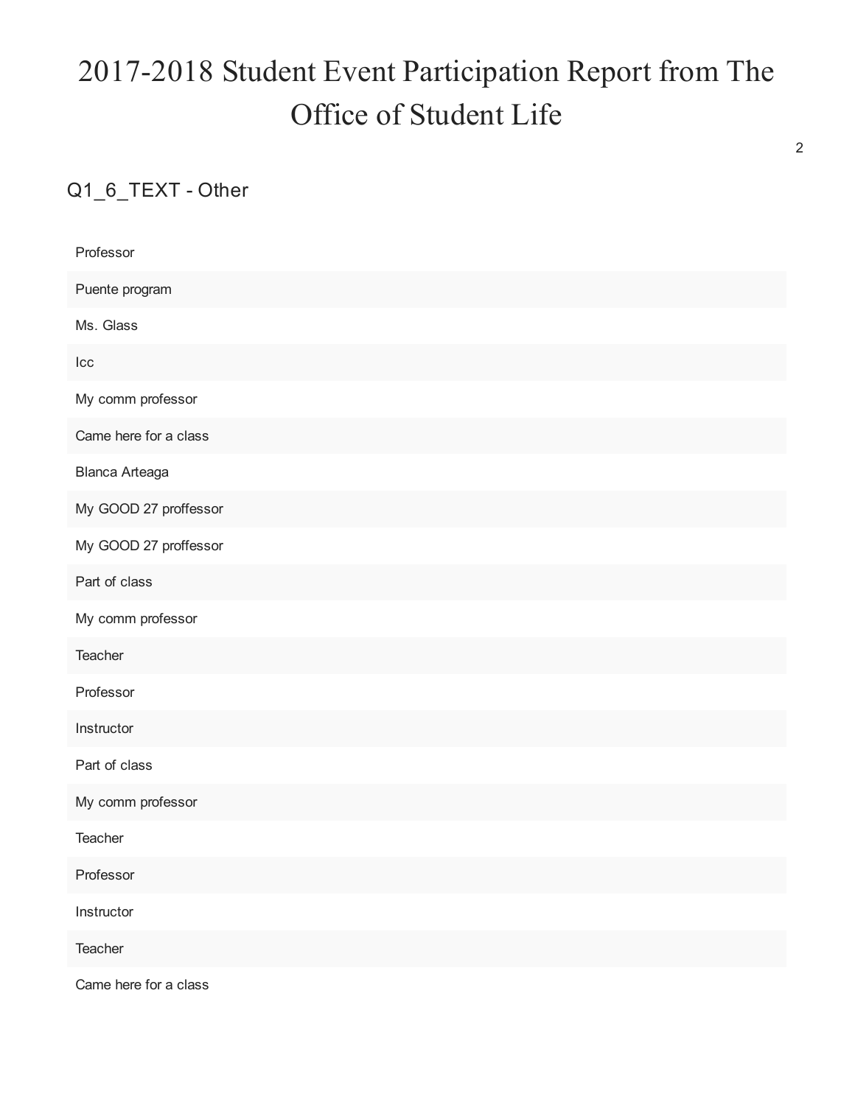2

#### Q1\_6\_TEXT - Other

| Professor             |
|-----------------------|
| Puente program        |
| Ms. Glass             |
| $_{\text{Lcc}}$       |
| My comm professor     |
| Came here for a class |
| Blanca Arteaga        |
| My GOOD 27 proffessor |
| My GOOD 27 proffessor |
| Part of class         |
| My comm professor     |
| Teacher               |
| Professor             |
| Instructor            |
| Part of class         |
| My comm professor     |
| Teacher               |
| Professor             |
| Instructor            |
| Teacher               |
| Came here for a class |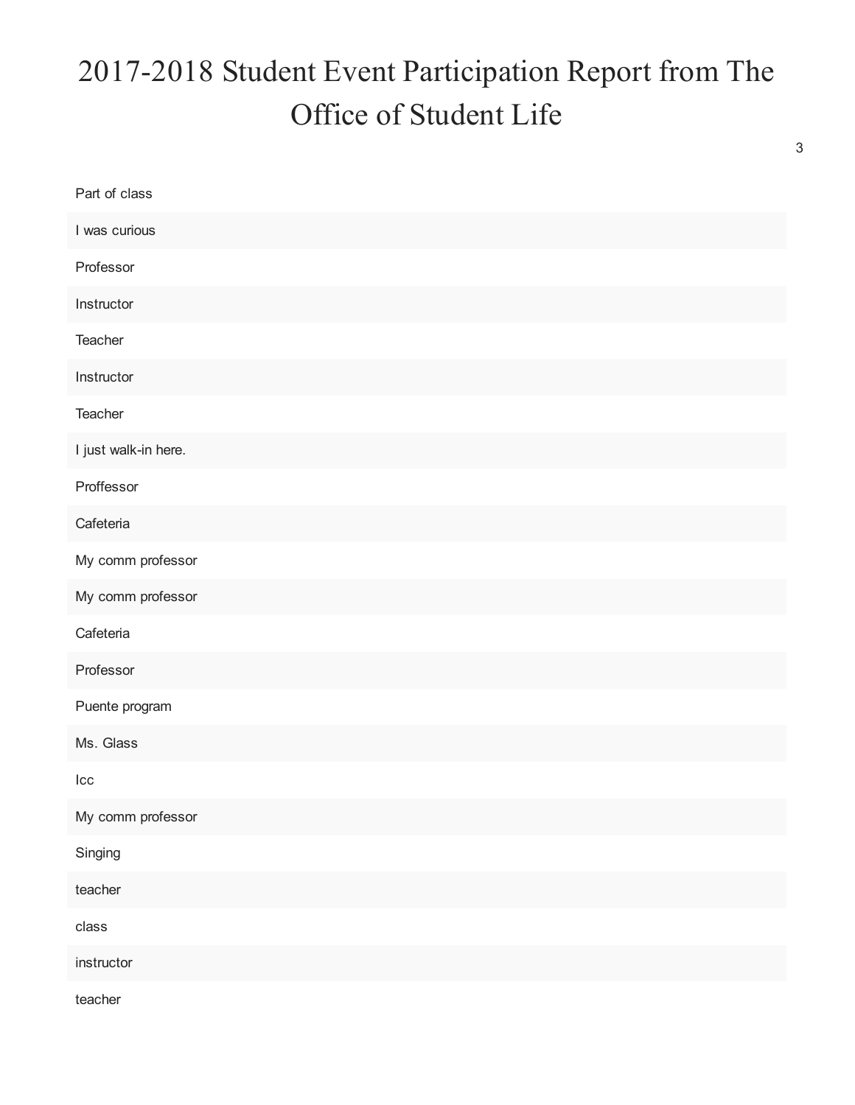3

| Part of class        |
|----------------------|
| I was curious        |
| Professor            |
| Instructor           |
| Teacher              |
| Instructor           |
| Teacher              |
| I just walk-in here. |
| Proffessor           |
| Cafeteria            |
| My comm professor    |
| My comm professor    |
| Cafeteria            |
| Professor            |
| Puente program       |
| Ms. Glass            |
| $_{\text{Lcc}}$      |
| My comm professor    |
| Singing              |
| teacher              |
| class                |
| instructor           |
| teacher              |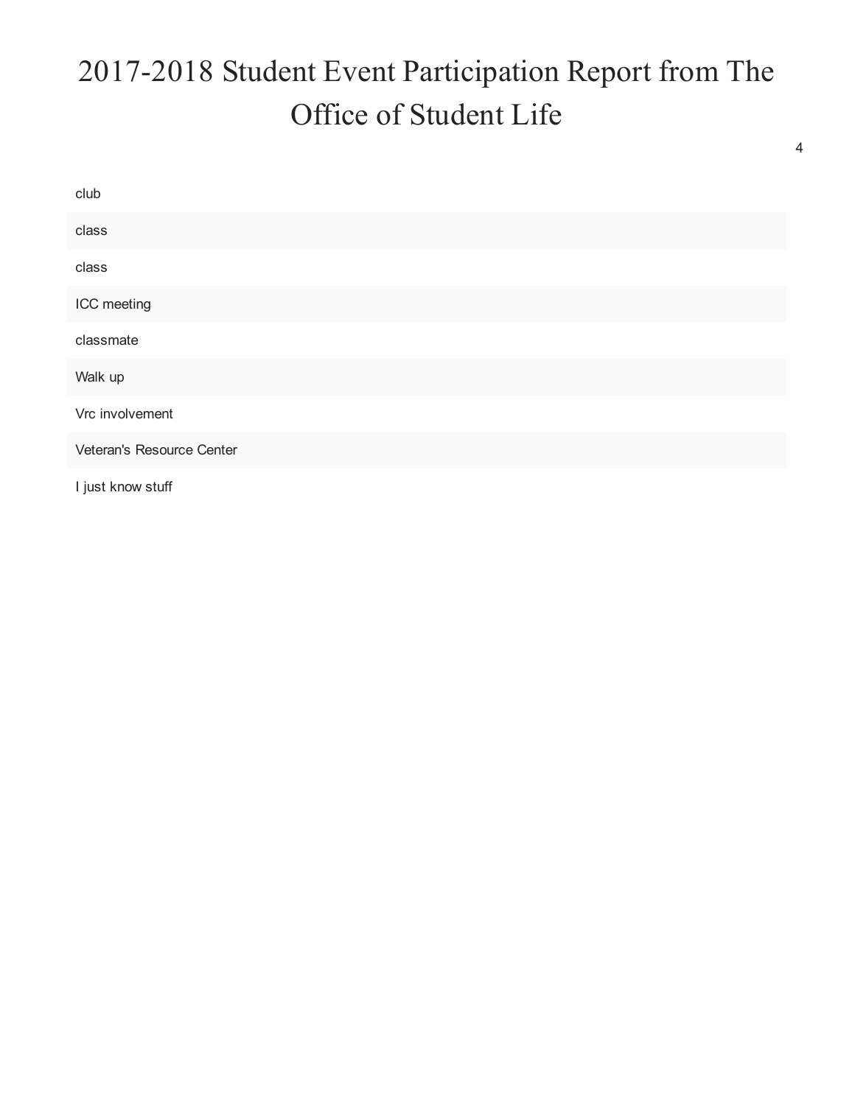4

| club                      |  |  |
|---------------------------|--|--|
| class                     |  |  |
| class                     |  |  |
| ICC meeting               |  |  |
| classmate                 |  |  |
| Walk up                   |  |  |
| Vrc involvement           |  |  |
| Veteran's Resource Center |  |  |
| I just know stuff         |  |  |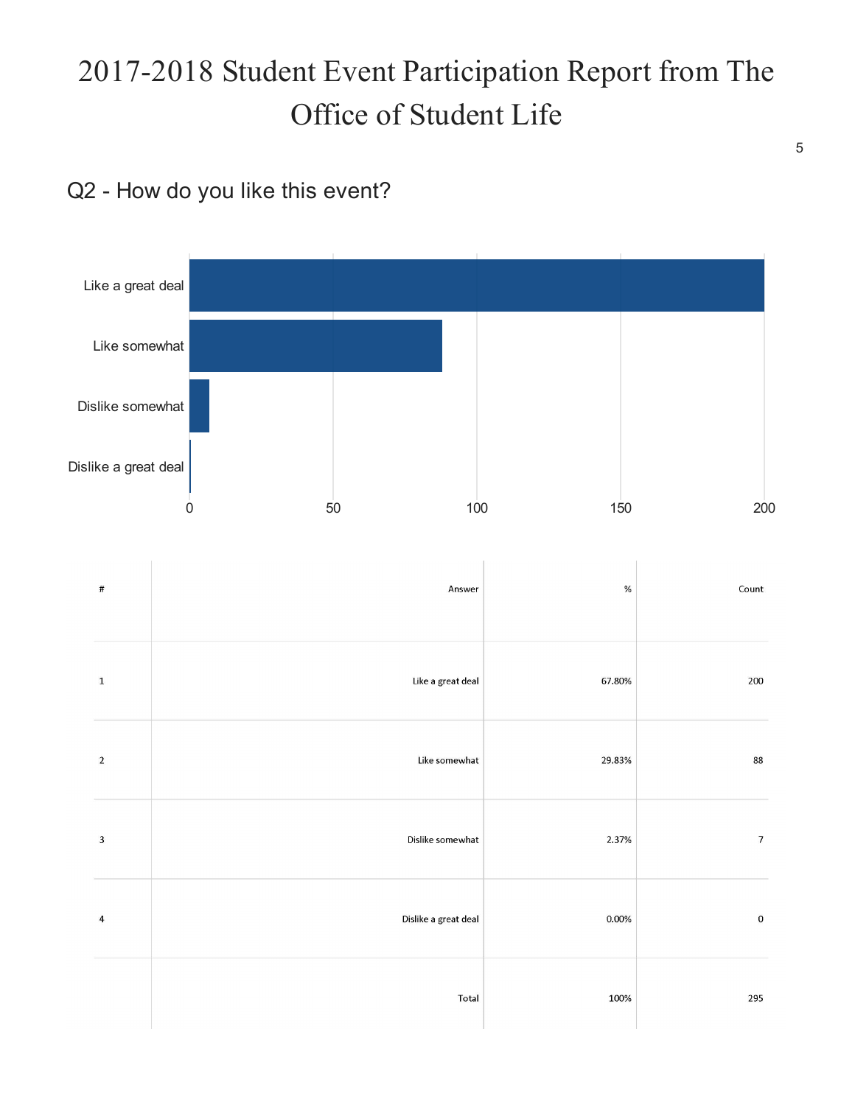#### Q2 - How do you like this event?

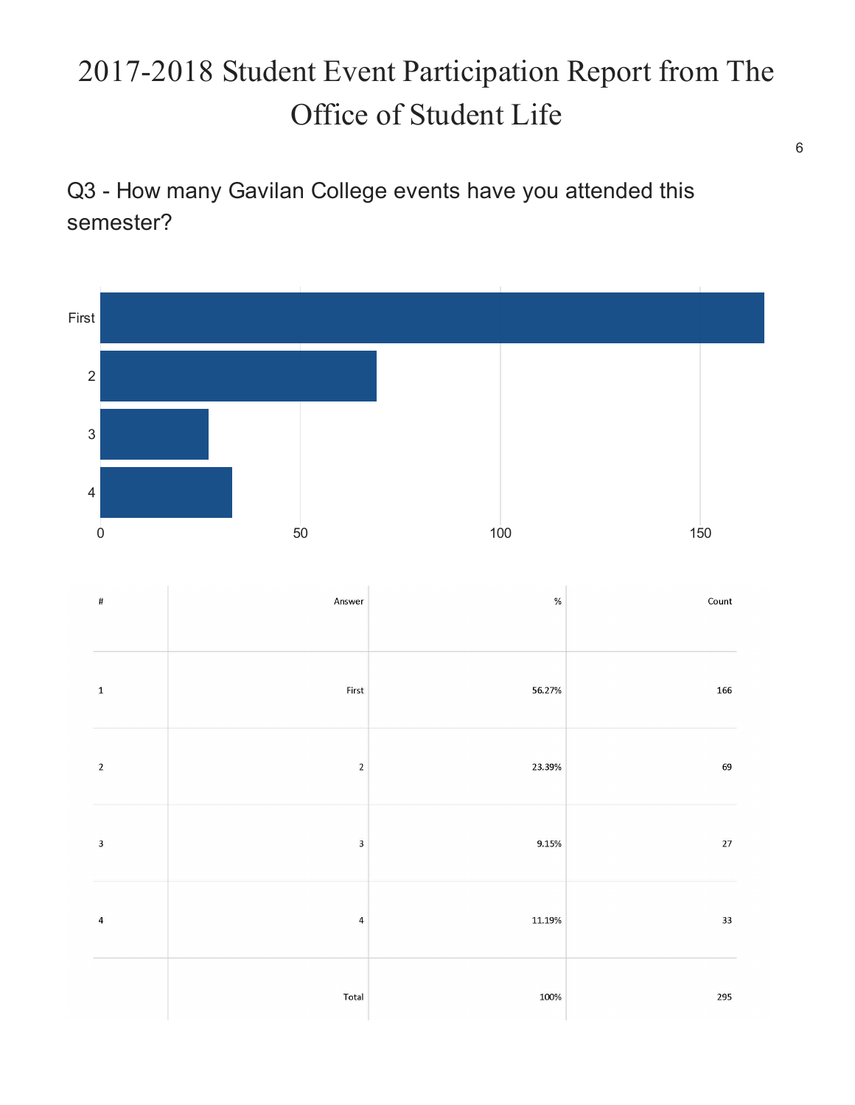Q3 - How many Gavilan College events have you attended this semester?

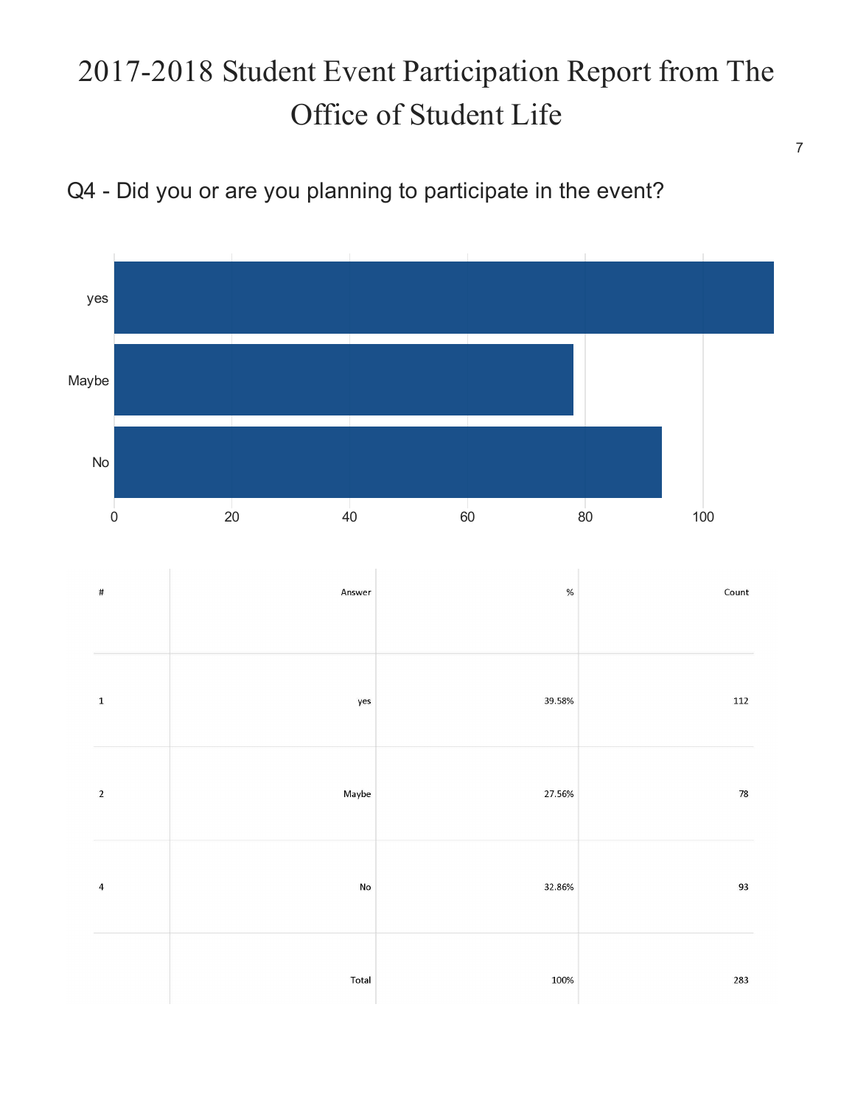#### Q4 - Did you or are you planning to participate in the event?

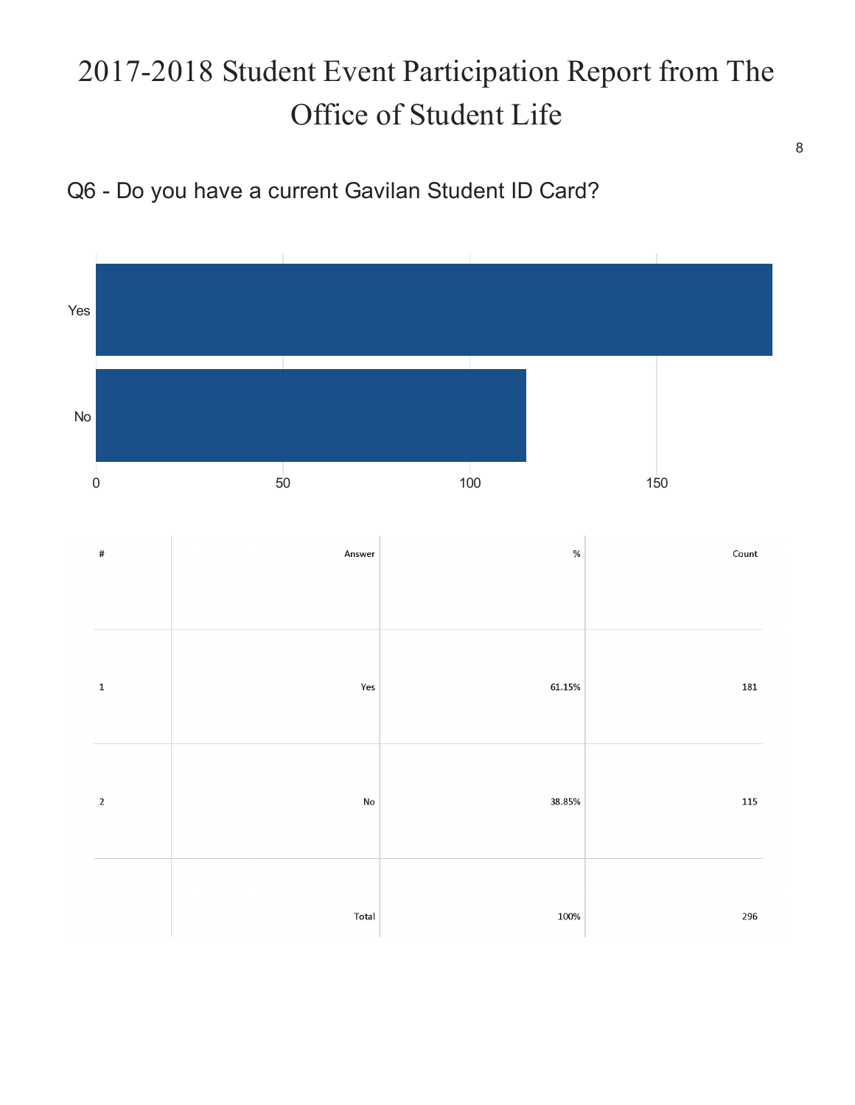

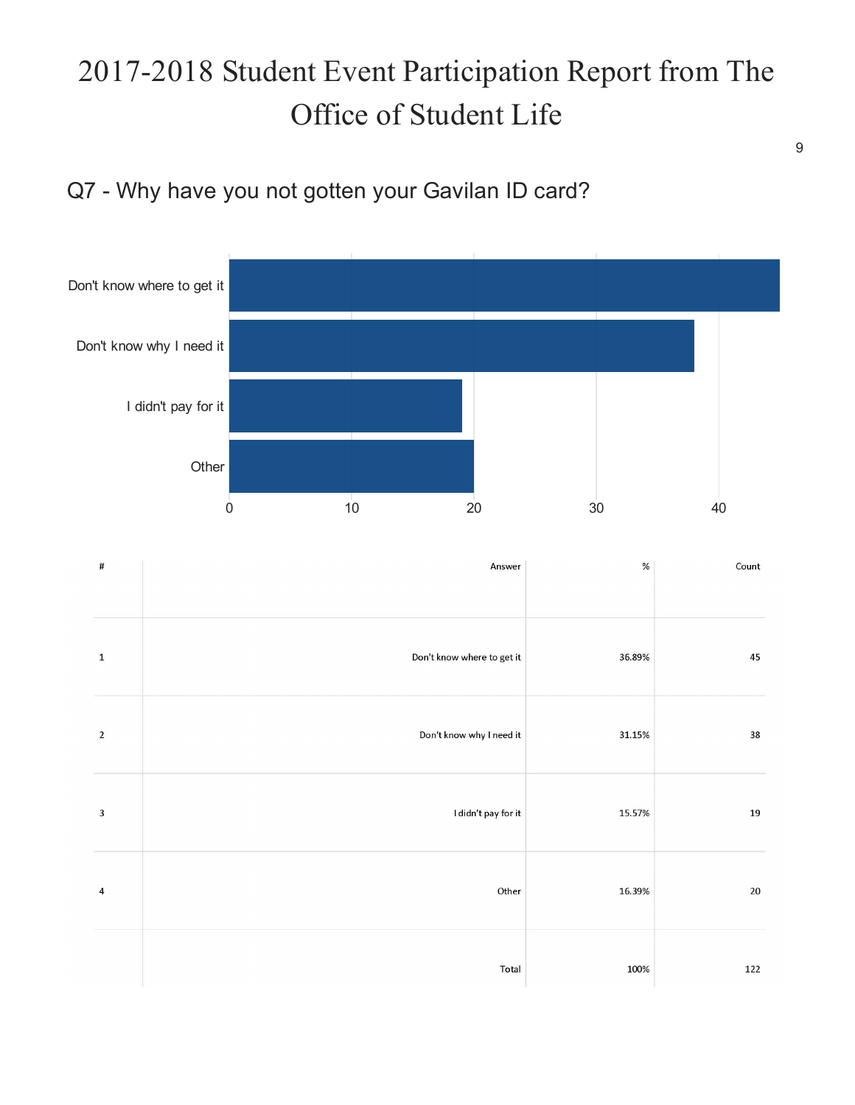#### Q7 - Why have you not gotten your Gavilan ID card?

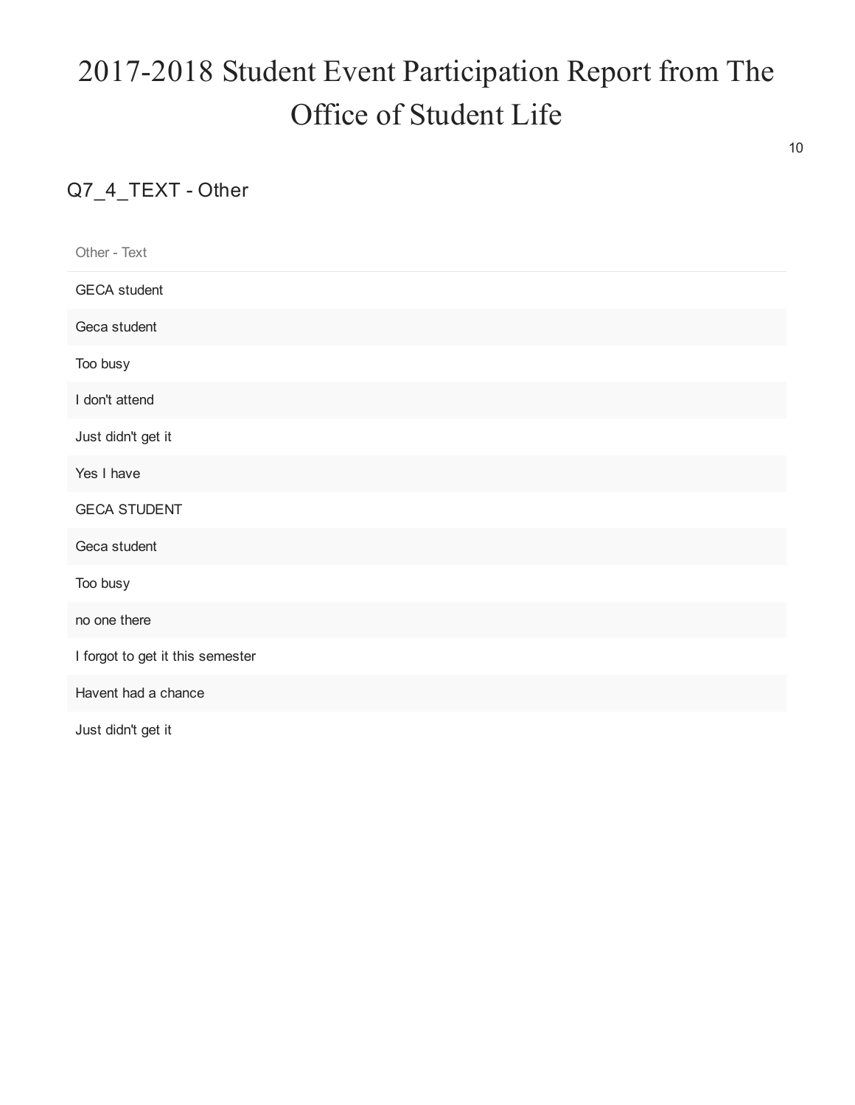10

#### Q7\_4\_TEXT - Other

| Other - Text                     |
|----------------------------------|
| <b>GECA</b> student              |
| Geca student                     |
| Too busy                         |
| I don't attend                   |
| Just didn't get it               |
| Yes I have                       |
| <b>GECA STUDENT</b>              |
| Geca student                     |
| Too busy                         |
| no one there                     |
| I forgot to get it this semester |
| Havent had a chance              |
| Just didn't get it               |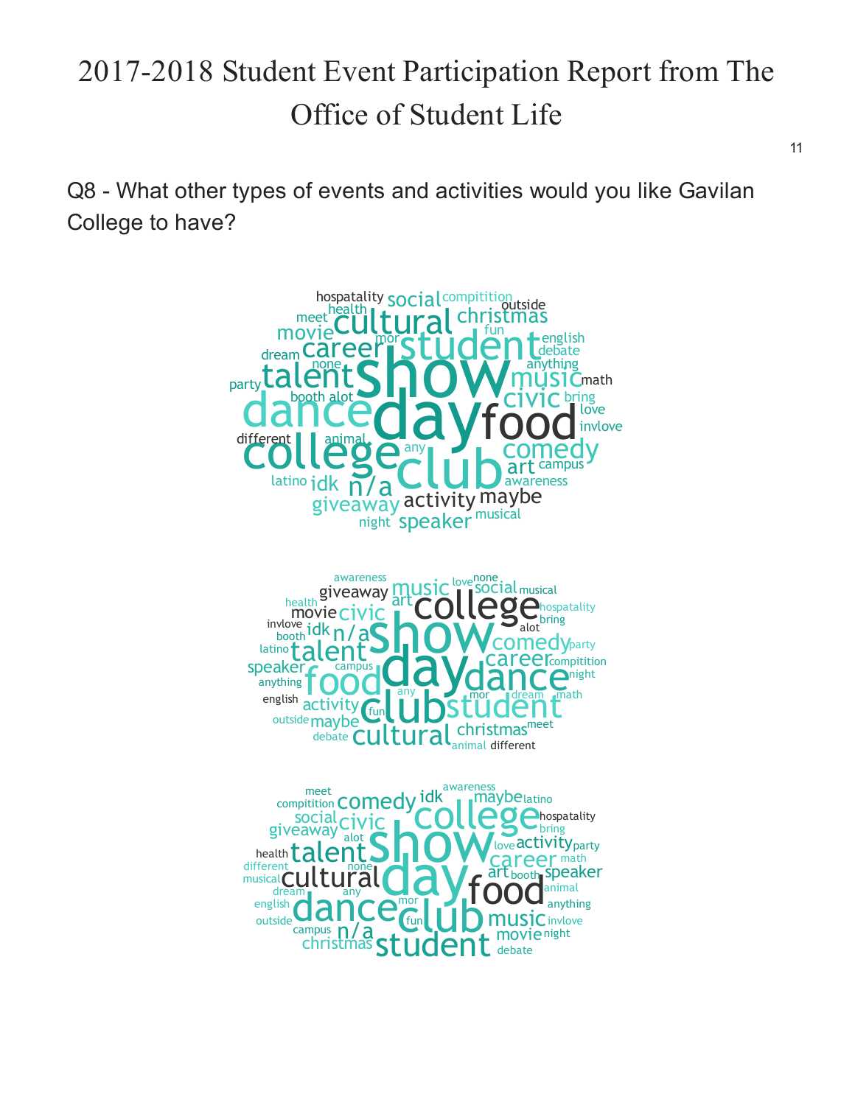Q8 - What other types of events and activities would you like Gavilan College to have?